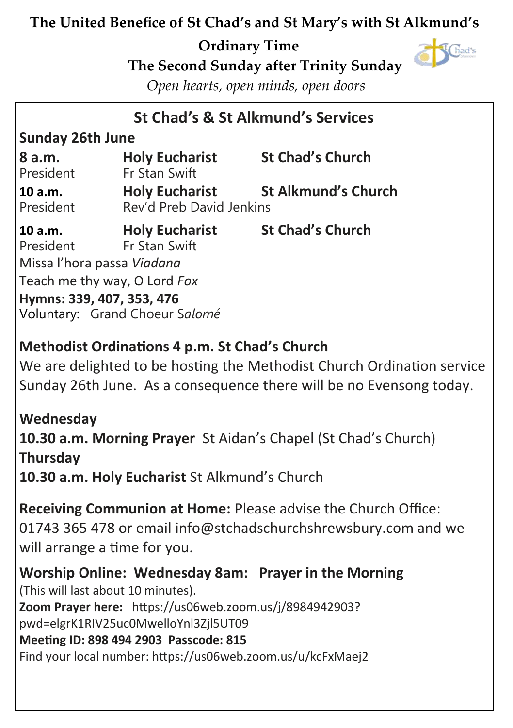### **The United Benefice of St Chad's and St Mary's with St Alkmund's**

### **Ordinary Time**



 **The Second Sunday after Trinity Sunday**

*Open hearts, open minds, open doors*

### **St Chad's & St Alkmund's Services**

#### **Sunday 26th June**

| 8 a.m.<br>President  | <b>Holy Eucharist</b><br>Fr Stan Swift            | <b>St Chad's Church</b>    |
|----------------------|---------------------------------------------------|----------------------------|
| 10 a.m.<br>President | <b>Holy Eucharist</b><br>Rev'd Preb David Jenkins | <b>St Alkmund's Church</b> |

| 10 a.m.                      | <b>Holy Eucharist</b>          | <b>St Chad's Church</b> |  |
|------------------------------|--------------------------------|-------------------------|--|
| President                    | Fr Stan Swift                  |                         |  |
| Missa l'hora passa Viadana   |                                |                         |  |
| Teach me thy way, O Lord Fox |                                |                         |  |
|                              | Hymns: 339, 407, 353, 476      |                         |  |
|                              | Voluntary: Grand Choeur Salomé |                         |  |

### **Methodist Ordinations 4 p.m. St Chad's Church**

We are delighted to be hosting the Methodist Church Ordination service Sunday 26th June. As a consequence there will be no Evensong today.

**Wednesday 10.30 a.m. Morning Prayer** St Aidan's Chapel (St Chad's Church) **Thursday 10.30 a.m. Holy Eucharist** St Alkmund's Church

**Receiving Communion at Home:** Please advise the Church Office: 01743 365 478 or email info@stchadschurchshrewsbury.com and we will arrange a time for you.

**Worship Online: Wednesday 8am: Prayer in the Morning**  (This will last about 10 minutes). **Zoom Prayer here:** [https://us06web.zoom.us/j/8984942903?](https://us06web.zoom.us/j/8984942903?pwd=elgrK1RIV25uc0MwelloYnl3Zjl5UT09) [pwd=elgrK1RIV25uc0MwelloYnl3Zjl5UT09](https://us06web.zoom.us/j/8984942903?pwd=elgrK1RIV25uc0MwelloYnl3Zjl5UT09)  **Meeting ID: 898 494 2903 Passcode: 815**  Find your local number: <https://us06web.zoom.us/u/kcFxMaej2>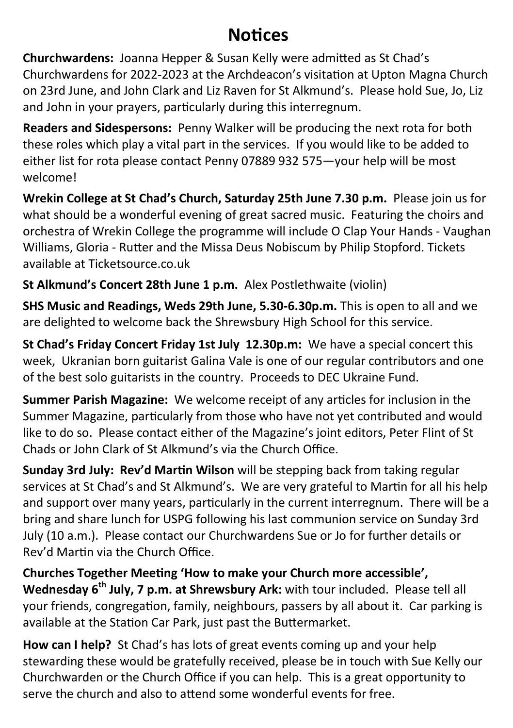## **Notices**

**Churchwardens:** Joanna Hepper & Susan Kelly were admitted as St Chad's Churchwardens for 2022-2023 at the Archdeacon's visitation at Upton Magna Church on 23rd June, and John Clark and Liz Raven for St Alkmund's. Please hold Sue, Jo, Liz and John in your prayers, particularly during this interregnum.

**Readers and Sidespersons:** Penny Walker will be producing the next rota for both these roles which play a vital part in the services. If you would like to be added to either list for rota please contact Penny 07889 932 575—your help will be most welcome!

**Wrekin College at St Chad's Church, Saturday 25th June 7.30 p.m.** Please join us for what should be a wonderful evening of great sacred music. Featuring the choirs and orchestra of Wrekin College the programme will include O Clap Your Hands - Vaughan Williams, Gloria - Rutter and the Missa Deus Nobiscum by Philip Stopford. Tickets available at Ticketsource.co.uk

**St Alkmund's Concert 28th June 1 p.m.** Alex Postlethwaite (violin)

**SHS Music and Readings, Weds 29th June, 5.30-6.30p.m.** This is open to all and we are delighted to welcome back the Shrewsbury High School for this service.

**St Chad's Friday Concert Friday 1st July 12.30p.m:** We have a special concert this week, Ukranian born guitarist Galina Vale is one of our regular contributors and one of the best solo guitarists in the country. Proceeds to DEC Ukraine Fund.

**Summer Parish Magazine:** We welcome receipt of any articles for inclusion in the Summer Magazine, particularly from those who have not yet contributed and would like to do so. Please contact either of the Magazine's joint editors, Peter Flint of St Chads or John Clark of St Alkmund's via the Church Office.

**Sunday 3rd July: Rev'd Martin Wilson** will be stepping back from taking regular services at St Chad's and St Alkmund's. We are very grateful to Martin for all his help and support over many years, particularly in the current interregnum. There will be a bring and share lunch for USPG following his last communion service on Sunday 3rd July (10 a.m.). Please contact our Churchwardens Sue or Jo for further details or Rev'd Martin via the Church Office.

**Churches Together Meeting 'How to make your Church more accessible', Wednesday 6th July, 7 p.m. at Shrewsbury Ark:** with tour included. Please tell all your friends, congregation, family, neighbours, passers by all about it. Car parking is available at the Station Car Park, just past the Buttermarket.

**How can I help?** St Chad's has lots of great events coming up and your help stewarding these would be gratefully received, please be in touch with Sue Kelly our Churchwarden or the Church Office if you can help. This is a great opportunity to serve the church and also to attend some wonderful events for free.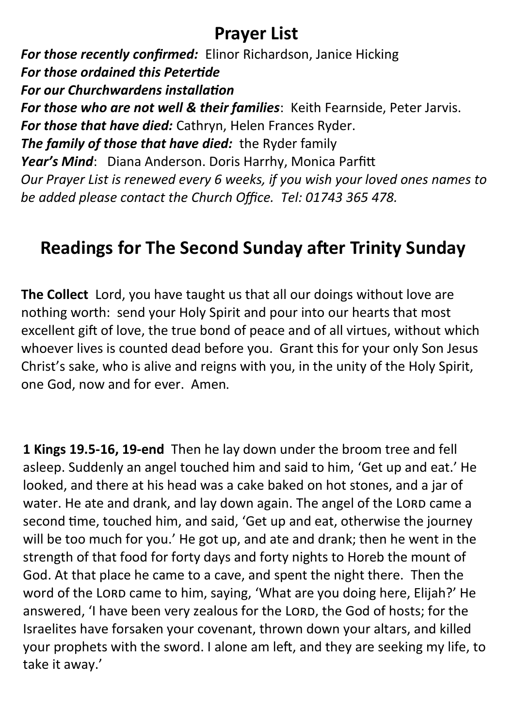### **Prayer List**

*For those recently confirmed:* Elinor Richardson, Janice Hicking *For those ordained this Petertide For our Churchwardens installation For those who are not well & their families*: Keith Fearnside, Peter Jarvis. *For those that have died:* Cathryn, Helen Frances Ryder. *The family of those that have died:* the Ryder family *Year's Mind*: Diana Anderson. Doris Harrhy, Monica Parfitt *Our Prayer List is renewed every 6 weeks, if you wish your loved ones names to be added please contact the Church Office. Tel: 01743 365 478.*

## **Readings for The Second Sunday after Trinity Sunday**

**The Collect** Lord, you have taught us that all our doings without love are nothing worth: send your Holy Spirit and pour into our hearts that most excellent gift of love, the true bond of peace and of all virtues, without which whoever lives is counted dead before you. Grant this for your only Son Jesus Christ's sake, who is alive and reigns with you, in the unity of the Holy Spirit, one God, now and for ever. Amen.

**1 Kings 19.5-16, 19-end** Then he lay down under the broom tree and fell asleep. Suddenly an angel touched him and said to him, 'Get up and eat.' He looked, and there at his head was a cake baked on hot stones, and a jar of water. He ate and drank, and lay down again. The angel of the LORD came a second time, touched him, and said, 'Get up and eat, otherwise the journey will be too much for you.' He got up, and ate and drank; then he went in the strength of that food for forty days and forty nights to Horeb the mount of God. At that place he came to a cave, and spent the night there. Then the word of the LORD came to him, saying, 'What are you doing here, Elijah?' He answered, 'I have been very zealous for the LORD, the God of hosts; for the Israelites have forsaken your covenant, thrown down your altars, and killed your prophets with the sword. I alone am left, and they are seeking my life, to take it away.'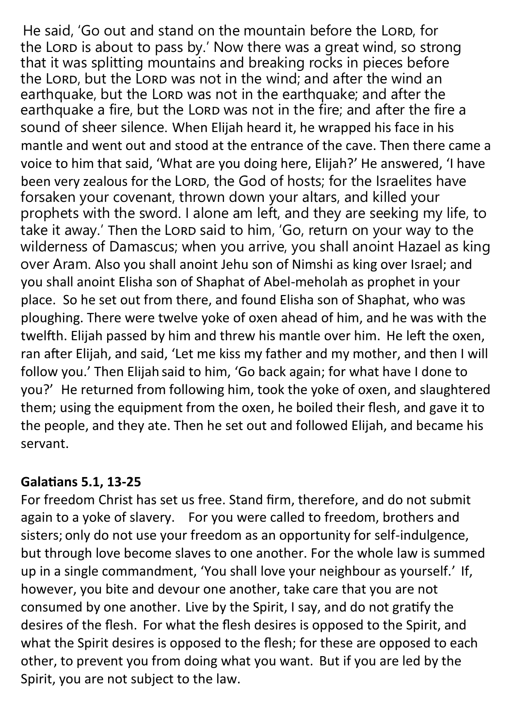He said, 'Go out and stand on the mountain before the LORD, for the Lord is about to pass by.' Now there was a great wind, so strong that it was splitting mountains and breaking rocks in pieces before the LORD, but the LORD was not in the wind, and after the wind an earthquake, but the Lord was not in the earthquake; and after the earthquake a fire, but the Lorp was not in the fire; and after the fire a sound of sheer silence. When Elijah heard it, he wrapped his face in his mantle and went out and stood at the entrance of the cave. Then there came a voice to him that said, 'What are you doing here, Elijah?' He answered, 'I have been very zealous for the LORD, the God of hosts; for the Israelites have forsaken your covenant, thrown down your altars, and killed your prophets with the sword. I alone am left, and they are seeking my life, to take it away.' Then the LORD said to him, 'Go, return on your way to the wilderness of Damascus; when you arrive, you shall anoint Hazael as king over Aram. Also you shall anoint Jehu son of Nimshi as king over Israel; and you shall anoint Elisha son of Shaphat of Abel-meholah as prophet in your place. So he set out from there, and found Elisha son of Shaphat, who was ploughing. There were twelve yoke of oxen ahead of him, and he was with the twelfth. Elijah passed by him and threw his mantle over him. He left the oxen, ran after Elijah, and said, 'Let me kiss my father and my mother, and then I will follow you.' Then Elijah said to him, 'Go back again; for what have I done to you?' He returned from following him, took the yoke of oxen, and slaughtered them; using the equipment from the oxen, he boiled their flesh, and gave it to the people, and they ate. Then he set out and followed Elijah, and became his servant.

#### **Galatians 5.1, 13-25**

For freedom Christ has set us free. Stand firm, therefore, and do not submit again to a yoke of slavery. For you were called to freedom, brothers and sisters; only do not use your freedom as an opportunity for self-indulgence, but through love become slaves to one another. For the whole law is summed up in a single commandment, 'You shall love your neighbour as yourself.' If, however, you bite and devour one another, take care that you are not consumed by one another. Live by the Spirit, I say, and do not gratify the desires of the flesh. For what the flesh desires is opposed to the Spirit, and what the Spirit desires is opposed to the flesh; for these are opposed to each other, to prevent you from doing what you want. But if you are led by the Spirit, you are not subject to the law.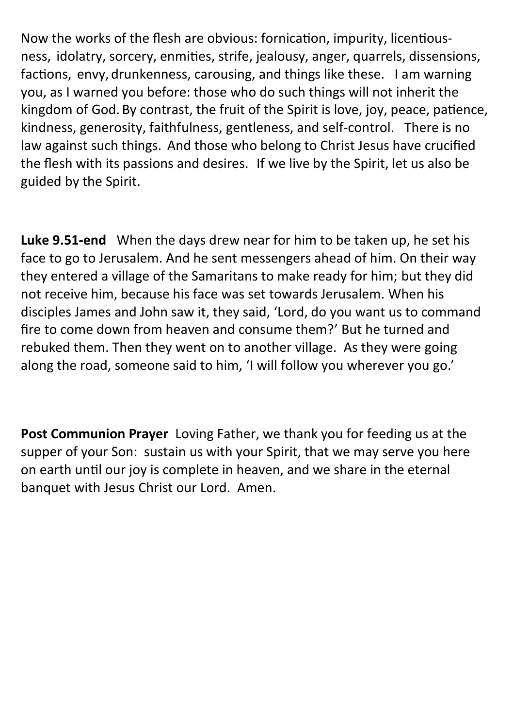Now the works of the flesh are obvious: fornication, impurity, licentiousness, idolatry, sorcery, enmities, strife, jealousy, anger, quarrels, dissensions, factions, envy, drunkenness, carousing, and things like these. I am warning you, as I warned you before: those who do such things will not inherit the kingdom of God. By contrast, the fruit of the Spirit is love, joy, peace, patience, kindness, generosity, faithfulness, gentleness, and self-control. There is no law against such things. And those who belong to Christ Jesus have crucified the flesh with its passions and desires. If we live by the Spirit, let us also be guided by the Spirit.

**Luke 9.51-end** When the days drew near for him to be taken up, he set his face to go to Jerusalem. And he sent messengers ahead of him. On their way they entered a village of the Samaritans to make ready for him; but they did not receive him, because his face was set towards Jerusalem. When his disciples James and John saw it, they said, 'Lord, do you want us to command fire to come down from heaven and consume them?' But he turned and rebuked them. Then they went on to another village. As they were going along the road, someone said to him, 'I will follow you wherever you go.'

**Post Communion Prayer** Loving Father, we thank you for feeding us at the supper of your Son: sustain us with your Spirit, that we may serve you here on earth until our joy is complete in heaven, and we share in the eternal banquet with Jesus Christ our Lord. Amen.